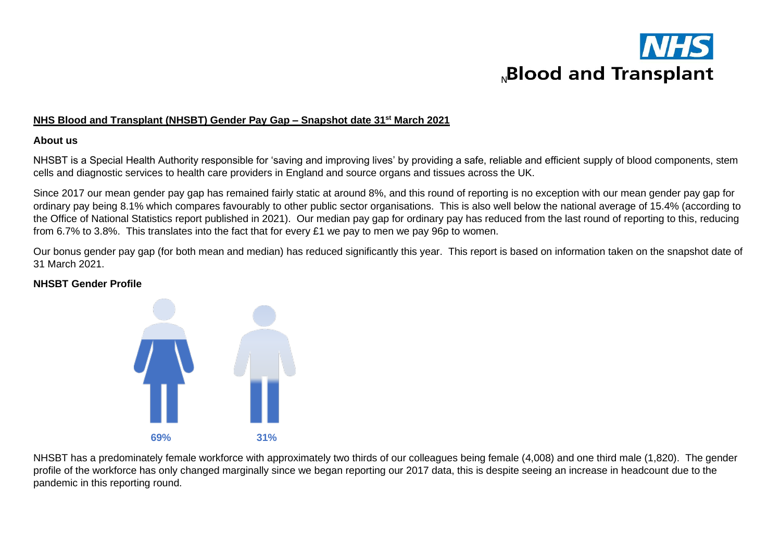

#### **NHS Blood and Transplant (NHSBT) Gender Pay Gap – Snapshot date 31st March 2021**

#### **About us**

NHSBT is a Special Health Authority responsible for 'saving and improving lives' by providing a safe, reliable and efficient supply of blood components, stem cells and diagnostic services to health care providers in England and source organs and tissues across the UK.

Since 2017 our mean gender pay gap has remained fairly static at around 8%, and this round of reporting is no exception with our mean gender pay gap for ordinary pay being 8.1% which compares favourably to other public sector organisations. This is also well below the national average of 15.4% (according to the Office of National Statistics report published in 2021). Our median pay gap for ordinary pay has reduced from the last round of reporting to this, reducing from 6.7% to 3.8%. This translates into the fact that for every £1 we pay to men we pay 96p to women.

Our bonus gender pay gap (for both mean and median) has reduced significantly this year. This report is based on information taken on the snapshot date of 31 March 2021.

### **NHSBT Gender Profile**



NHSBT has a predominately female workforce with approximately two thirds of our colleagues being female (4,008) and one third male (1,820). The gender profile of the workforce has only changed marginally since we began reporting our 2017 data, this is despite seeing an increase in headcount due to the pandemic in this reporting round.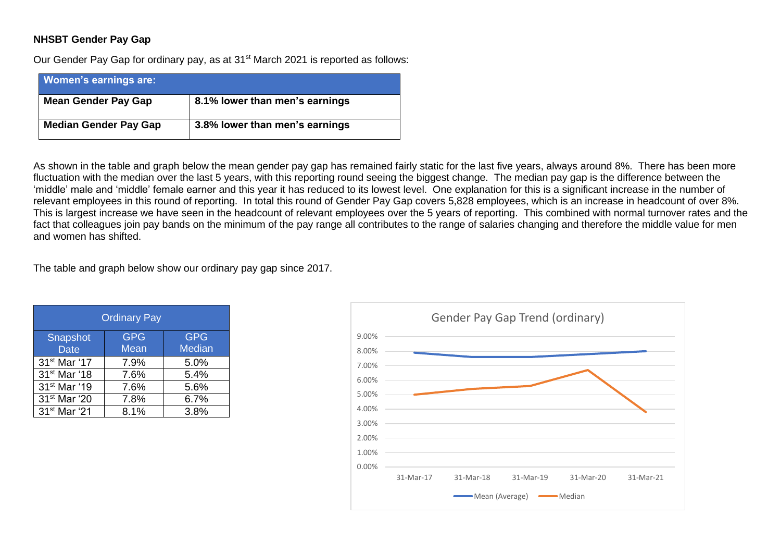## **NHSBT Gender Pay Gap**

Our Gender Pay Gap for ordinary pay, as at 31<sup>st</sup> March 2021 is reported as follows:

| <b>Women's earnings are:</b> |                                |
|------------------------------|--------------------------------|
| <b>Mean Gender Pay Gap</b>   | 8.1% lower than men's earnings |
| <b>Median Gender Pay Gap</b> | 3.8% lower than men's earnings |

As shown in the table and graph below the mean gender pay gap has remained fairly static for the last five years, always around 8%. There has been more fluctuation with the median over the last 5 years, with this reporting round seeing the biggest change. The median pay gap is the difference between the 'middle' male and 'middle' female earner and this year it has reduced to its lowest level. One explanation for this is a significant increase in the number of relevant employees in this round of reporting. In total this round of Gender Pay Gap covers 5,828 employees, which is an increase in headcount of over 8%. This is largest increase we have seen in the headcount of relevant employees over the 5 years of reporting. This combined with normal turnover rates and the fact that colleagues join pay bands on the minimum of the pay range all contributes to the range of salaries changing and therefore the middle value for men and women has shifted.

The table and graph below show our ordinary pay gap since 2017.

| <b>Ordinary Pay</b>      |            |               |  |
|--------------------------|------------|---------------|--|
| Snapshot                 | <b>GPG</b> | <b>GPG</b>    |  |
| <b>Date</b>              | Mean       | <b>Median</b> |  |
| 31 <sup>st</sup> Mar '17 | 7.9%       | 5.0%          |  |
| 31 <sup>st</sup> Mar '18 | 7.6%       | 5.4%          |  |
| 31 <sup>st</sup> Mar '19 | 7.6%       | 5.6%          |  |
| 31 <sup>st</sup> Mar '20 | 7.8%       | 6.7%          |  |
| 31 <sup>st</sup> Mar '21 | 8.1%       | 3.8%          |  |

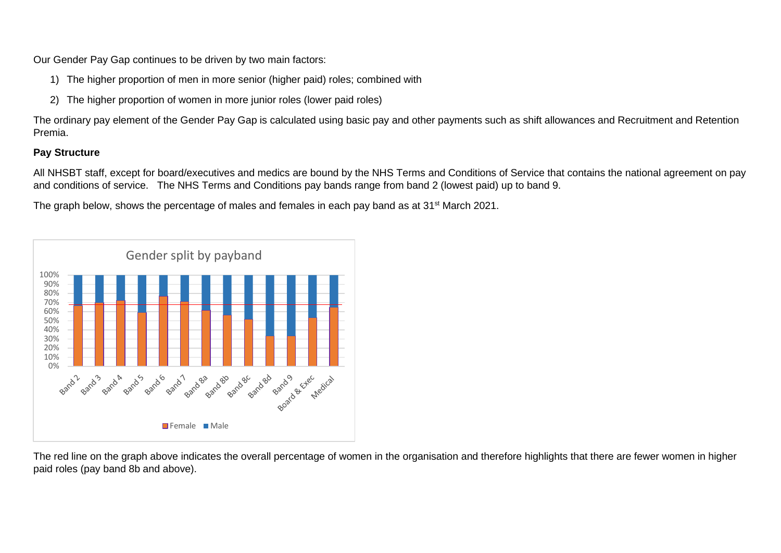Our Gender Pay Gap continues to be driven by two main factors:

- 1) The higher proportion of men in more senior (higher paid) roles; combined with
- 2) The higher proportion of women in more junior roles (lower paid roles)

The ordinary pay element of the Gender Pay Gap is calculated using basic pay and other payments such as shift allowances and Recruitment and Retention Premia.

# **Pay Structure**

All NHSBT staff, except for board/executives and medics are bound by the NHS Terms and Conditions of Service that contains the national agreement on pay and conditions of service. The NHS Terms and Conditions pay bands range from band 2 (lowest paid) up to band 9.

The graph below, shows the percentage of males and females in each pay band as at 31<sup>st</sup> March 2021.



The red line on the graph above indicates the overall percentage of women in the organisation and therefore highlights that there are fewer women in higher paid roles (pay band 8b and above).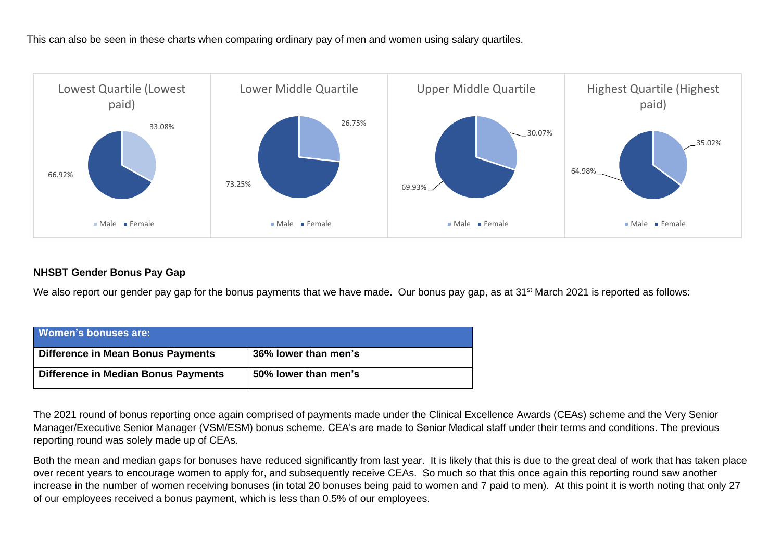This can also be seen in these charts when comparing ordinary pay of men and women using salary quartiles.



# **NHSBT Gender Bonus Pay Gap**

We also report our gender pay gap for the bonus payments that we have made. Our bonus pay gap, as at 31<sup>st</sup> March 2021 is reported as follows:

| Women's bonuses are:                       |                      |
|--------------------------------------------|----------------------|
| Difference in Mean Bonus Payments          | 36% lower than men's |
| <b>Difference in Median Bonus Payments</b> | 50% lower than men's |

The 2021 round of bonus reporting once again comprised of payments made under the Clinical Excellence Awards (CEAs) scheme and the Very Senior Manager/Executive Senior Manager (VSM/ESM) bonus scheme. CEA's are made to Senior Medical staff under their terms and conditions. The previous reporting round was solely made up of CEAs.

Both the mean and median gaps for bonuses have reduced significantly from last year. It is likely that this is due to the great deal of work that has taken place over recent years to encourage women to apply for, and subsequently receive CEAs. So much so that this once again this reporting round saw another increase in the number of women receiving bonuses (in total 20 bonuses being paid to women and 7 paid to men). At this point it is worth noting that only 27 of our employees received a bonus payment, which is less than 0.5% of our employees.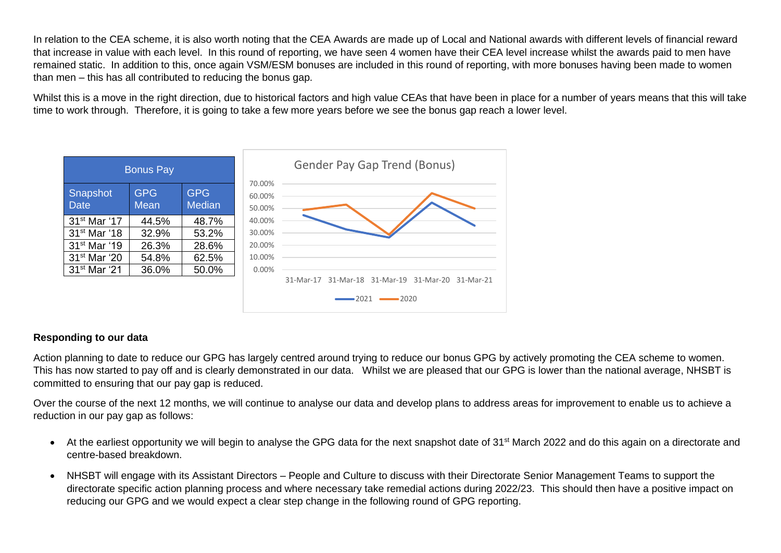In relation to the CEA scheme, it is also worth noting that the CEA Awards are made up of Local and National awards with different levels of financial reward that increase in value with each level. In this round of reporting, we have seen 4 women have their CEA level increase whilst the awards paid to men have remained static. In addition to this, once again VSM/ESM bonuses are included in this round of reporting, with more bonuses having been made to women than men – this has all contributed to reducing the bonus gap.

Whilst this is a move in the right direction, due to historical factors and high value CEAs that have been in place for a number of years means that this will take time to work through. Therefore, it is going to take a few more years before we see the bonus gap reach a lower level.



## **Responding to our data**

Action planning to date to reduce our GPG has largely centred around trying to reduce our bonus GPG by actively promoting the CEA scheme to women. This has now started to pay off and is clearly demonstrated in our data. Whilst we are pleased that our GPG is lower than the national average, NHSBT is committed to ensuring that our pay gap is reduced.

Over the course of the next 12 months, we will continue to analyse our data and develop plans to address areas for improvement to enable us to achieve a reduction in our pay gap as follows:

- At the earliest opportunity we will begin to analyse the GPG data for the next snapshot date of 31<sup>st</sup> March 2022 and do this again on a directorate and centre-based breakdown.
- NHSBT will engage with its Assistant Directors People and Culture to discuss with their Directorate Senior Management Teams to support the directorate specific action planning process and where necessary take remedial actions during 2022/23. This should then have a positive impact on reducing our GPG and we would expect a clear step change in the following round of GPG reporting.